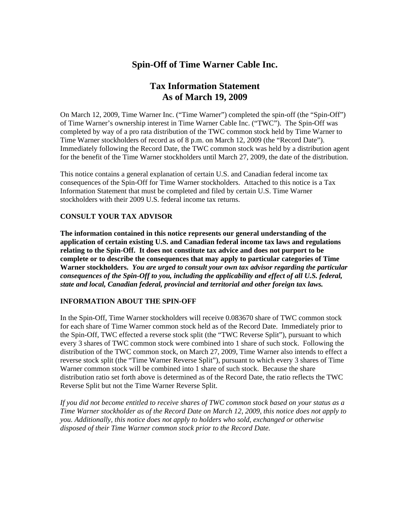# **Spin-Off of Time Warner Cable Inc.**

# **Tax Information Statement As of March 19, 2009**

On March 12, 2009, Time Warner Inc. ("Time Warner") completed the spin-off (the "Spin-Off") of Time Warner's ownership interest in Time Warner Cable Inc. ("TWC"). The Spin-Off was completed by way of a pro rata distribution of the TWC common stock held by Time Warner to Time Warner stockholders of record as of 8 p.m. on March 12, 2009 (the "Record Date"). Immediately following the Record Date, the TWC common stock was held by a distribution agent for the benefit of the Time Warner stockholders until March 27, 2009, the date of the distribution.

This notice contains a general explanation of certain U.S. and Canadian federal income tax consequences of the Spin-Off for Time Warner stockholders. Attached to this notice is a Tax Information Statement that must be completed and filed by certain U.S. Time Warner stockholders with their 2009 U.S. federal income tax returns.

## **CONSULT YOUR TAX ADVISOR**

**The information contained in this notice represents our general understanding of the application of certain existing U.S. and Canadian federal income tax laws and regulations relating to the Spin-Off. It does not constitute tax advice and does not purport to be complete or to describe the consequences that may apply to particular categories of Time Warner stockholders.** *You are urged to consult your own tax advisor regarding the particular consequences of the Spin-Off to you, including the applicability and effect of all U.S. federal, state and local, Canadian federal, provincial and territorial and other foreign tax laws.*

### **INFORMATION ABOUT THE SPIN-OFF**

In the Spin-Off, Time Warner stockholders will receive 0.083670 share of TWC common stock for each share of Time Warner common stock held as of the Record Date. Immediately prior to the Spin-Off, TWC effected a reverse stock split (the "TWC Reverse Split"), pursuant to which every 3 shares of TWC common stock were combined into 1 share of such stock. Following the distribution of the TWC common stock, on March 27, 2009, Time Warner also intends to effect a reverse stock split (the "Time Warner Reverse Split"), pursuant to which every 3 shares of Time Warner common stock will be combined into 1 share of such stock. Because the share distribution ratio set forth above is determined as of the Record Date, the ratio reflects the TWC Reverse Split but not the Time Warner Reverse Split.

*If you did not become entitled to receive shares of TWC common stock based on your status as a Time Warner stockholder as of the Record Date on March 12, 2009, this notice does not apply to you. Additionally, this notice does not apply to holders who sold, exchanged or otherwise disposed of their Time Warner common stock prior to the Record Date.*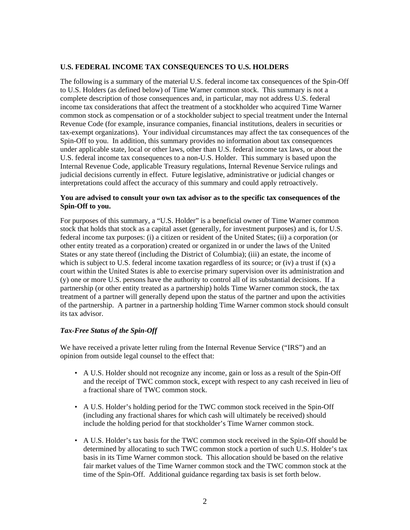#### **U.S. FEDERAL INCOME TAX CONSEQUENCES TO U.S. HOLDERS**

The following is a summary of the material U.S. federal income tax consequences of the Spin-Off to U.S. Holders (as defined below) of Time Warner common stock. This summary is not a complete description of those consequences and, in particular, may not address U.S. federal income tax considerations that affect the treatment of a stockholder who acquired Time Warner common stock as compensation or of a stockholder subject to special treatment under the Internal Revenue Code (for example, insurance companies, financial institutions, dealers in securities or tax-exempt organizations). Your individual circumstances may affect the tax consequences of the Spin-Off to you. In addition, this summary provides no information about tax consequences under applicable state, local or other laws, other than U.S. federal income tax laws, or about the U.S. federal income tax consequences to a non-U.S. Holder. This summary is based upon the Internal Revenue Code, applicable Treasury regulations, Internal Revenue Service rulings and judicial decisions currently in effect. Future legislative, administrative or judicial changes or interpretations could affect the accuracy of this summary and could apply retroactively.

#### **You are advised to consult your own tax advisor as to the specific tax consequences of the Spin-Off to you.**

For purposes of this summary, a "U.S. Holder" is a beneficial owner of Time Warner common stock that holds that stock as a capital asset (generally, for investment purposes) and is, for U.S. federal income tax purposes: (i) a citizen or resident of the United States; (ii) a corporation (or other entity treated as a corporation) created or organized in or under the laws of the United States or any state thereof (including the District of Columbia); (iii) an estate, the income of which is subject to U.S. federal income taxation regardless of its source; or (iv) a trust if  $(x)$  a court within the United States is able to exercise primary supervision over its administration and (y) one or more U.S. persons have the authority to control all of its substantial decisions. If a partnership (or other entity treated as a partnership) holds Time Warner common stock, the tax treatment of a partner will generally depend upon the status of the partner and upon the activities of the partnership. A partner in a partnership holding Time Warner common stock should consult its tax advisor.

### *Tax-Free Status of the Spin-Off*

We have received a private letter ruling from the Internal Revenue Service ("IRS") and an opinion from outside legal counsel to the effect that:

- A U.S. Holder should not recognize any income, gain or loss as a result of the Spin-Off and the receipt of TWC common stock, except with respect to any cash received in lieu of a fractional share of TWC common stock.
- A U.S. Holder's holding period for the TWC common stock received in the Spin-Off (including any fractional shares for which cash will ultimately be received) should include the holding period for that stockholder's Time Warner common stock.
- A U.S. Holder's tax basis for the TWC common stock received in the Spin-Off should be determined by allocating to such TWC common stock a portion of such U.S. Holder's tax basis in its Time Warner common stock. This allocation should be based on the relative fair market values of the Time Warner common stock and the TWC common stock at the time of the Spin-Off. Additional guidance regarding tax basis is set forth below.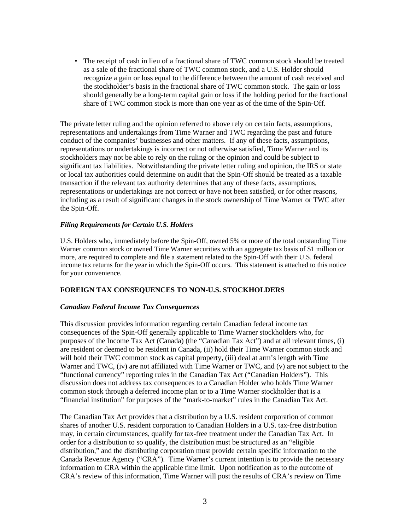• The receipt of cash in lieu of a fractional share of TWC common stock should be treated as a sale of the fractional share of TWC common stock, and a U.S. Holder should recognize a gain or loss equal to the difference between the amount of cash received and the stockholder's basis in the fractional share of TWC common stock. The gain or loss should generally be a long-term capital gain or loss if the holding period for the fractional share of TWC common stock is more than one year as of the time of the Spin-Off.

The private letter ruling and the opinion referred to above rely on certain facts, assumptions, representations and undertakings from Time Warner and TWC regarding the past and future conduct of the companies' businesses and other matters. If any of these facts, assumptions, representations or undertakings is incorrect or not otherwise satisfied, Time Warner and its stockholders may not be able to rely on the ruling or the opinion and could be subject to significant tax liabilities. Notwithstanding the private letter ruling and opinion, the IRS or state or local tax authorities could determine on audit that the Spin-Off should be treated as a taxable transaction if the relevant tax authority determines that any of these facts, assumptions, representations or undertakings are not correct or have not been satisfied, or for other reasons, including as a result of significant changes in the stock ownership of Time Warner or TWC after the Spin-Off.

#### *Filing Requirements for Certain U.S. Holders*

U.S. Holders who, immediately before the Spin-Off, owned 5% or more of the total outstanding Time Warner common stock or owned Time Warner securities with an aggregate tax basis of \$1 million or more, are required to complete and file a statement related to the Spin-Off with their U.S. federal income tax returns for the year in which the Spin-Off occurs. This statement is attached to this notice for your convenience.

### **FOREIGN TAX CONSEQUENCES TO NON-U.S. STOCKHOLDERS**

### *Canadian Federal Income Tax Consequences*

This discussion provides information regarding certain Canadian federal income tax consequences of the Spin-Off generally applicable to Time Warner stockholders who, for purposes of the Income Tax Act (Canada) (the "Canadian Tax Act") and at all relevant times, (i) are resident or deemed to be resident in Canada, (ii) hold their Time Warner common stock and will hold their TWC common stock as capital property, (iii) deal at arm's length with Time Warner and TWC, (iv) are not affiliated with Time Warner or TWC, and (v) are not subject to the "functional currency" reporting rules in the Canadian Tax Act ("Canadian Holders"). This discussion does not address tax consequences to a Canadian Holder who holds Time Warner common stock through a deferred income plan or to a Time Warner stockholder that is a "financial institution" for purposes of the "mark-to-market" rules in the Canadian Tax Act.

The Canadian Tax Act provides that a distribution by a U.S. resident corporation of common shares of another U.S. resident corporation to Canadian Holders in a U.S. tax-free distribution may, in certain circumstances, qualify for tax-free treatment under the Canadian Tax Act. In order for a distribution to so qualify, the distribution must be structured as an "eligible distribution," and the distributing corporation must provide certain specific information to the Canada Revenue Agency ("CRA"). Time Warner's current intention is to provide the necessary information to CRA within the applicable time limit. Upon notification as to the outcome of CRA's review of this information, Time Warner will post the results of CRA's review on Time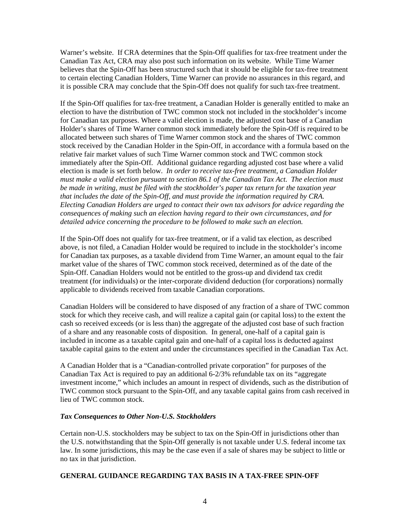Warner's website. If CRA determines that the Spin-Off qualifies for tax-free treatment under the Canadian Tax Act, CRA may also post such information on its website. While Time Warner believes that the Spin-Off has been structured such that it should be eligible for tax-free treatment to certain electing Canadian Holders, Time Warner can provide no assurances in this regard, and it is possible CRA may conclude that the Spin-Off does not qualify for such tax-free treatment.

If the Spin-Off qualifies for tax-free treatment, a Canadian Holder is generally entitled to make an election to have the distribution of TWC common stock not included in the stockholder's income for Canadian tax purposes. Where a valid election is made, the adjusted cost base of a Canadian Holder's shares of Time Warner common stock immediately before the Spin-Off is required to be allocated between such shares of Time Warner common stock and the shares of TWC common stock received by the Canadian Holder in the Spin-Off, in accordance with a formula based on the relative fair market values of such Time Warner common stock and TWC common stock immediately after the Spin-Off. Additional guidance regarding adjusted cost base where a valid election is made is set forth below. *In order to receive tax-free treatment, a Canadian Holder must make a valid election pursuant to section 86.1 of the Canadian Tax Act. The election must be made in writing, must be filed with the stockholder's paper tax return for the taxation year that includes the date of the Spin-Off, and must provide the information required by CRA. Electing Canadian Holders are urged to contact their own tax advisors for advice regarding the consequences of making such an election having regard to their own circumstances, and for detailed advice concerning the procedure to be followed to make such an election.* 

If the Spin-Off does not qualify for tax-free treatment, or if a valid tax election, as described above, is not filed, a Canadian Holder would be required to include in the stockholder's income for Canadian tax purposes, as a taxable dividend from Time Warner, an amount equal to the fair market value of the shares of TWC common stock received, determined as of the date of the Spin-Off. Canadian Holders would not be entitled to the gross-up and dividend tax credit treatment (for individuals) or the inter-corporate dividend deduction (for corporations) normally applicable to dividends received from taxable Canadian corporations.

Canadian Holders will be considered to have disposed of any fraction of a share of TWC common stock for which they receive cash, and will realize a capital gain (or capital loss) to the extent the cash so received exceeds (or is less than) the aggregate of the adjusted cost base of such fraction of a share and any reasonable costs of disposition. In general, one-half of a capital gain is included in income as a taxable capital gain and one-half of a capital loss is deducted against taxable capital gains to the extent and under the circumstances specified in the Canadian Tax Act.

A Canadian Holder that is a "Canadian-controlled private corporation" for purposes of the Canadian Tax Act is required to pay an additional 6-2/3% refundable tax on its "aggregate investment income," which includes an amount in respect of dividends, such as the distribution of TWC common stock pursuant to the Spin-Off, and any taxable capital gains from cash received in lieu of TWC common stock.

## *Tax Consequences to Other Non-U.S. Stockholders*

Certain non-U.S. stockholders may be subject to tax on the Spin-Off in jurisdictions other than the U.S. notwithstanding that the Spin-Off generally is not taxable under U.S. federal income tax law. In some jurisdictions, this may be the case even if a sale of shares may be subject to little or no tax in that jurisdiction.

### **GENERAL GUIDANCE REGARDING TAX BASIS IN A TAX-FREE SPIN-OFF**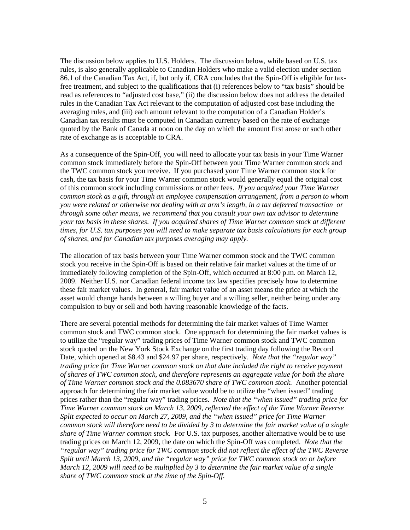The discussion below applies to U.S. Holders. The discussion below, while based on U.S. tax rules, is also generally applicable to Canadian Holders who make a valid election under section 86.1 of the Canadian Tax Act, if, but only if, CRA concludes that the Spin-Off is eligible for taxfree treatment, and subject to the qualifications that (i) references below to "tax basis" should be read as references to "adjusted cost base," (ii) the discussion below does not address the detailed rules in the Canadian Tax Act relevant to the computation of adjusted cost base including the averaging rules, and (iii) each amount relevant to the computation of a Canadian Holder's Canadian tax results must be computed in Canadian currency based on the rate of exchange quoted by the Bank of Canada at noon on the day on which the amount first arose or such other rate of exchange as is acceptable to CRA.

As a consequence of the Spin-Off, you will need to allocate your tax basis in your Time Warner common stock immediately before the Spin-Off between your Time Warner common stock and the TWC common stock you receive. If you purchased your Time Warner common stock for cash, the tax basis for your Time Warner common stock would generally equal the original cost of this common stock including commissions or other fees. *If you acquired your Time Warner common stock as a gift, through an employee compensation arrangement, from a person to whom you were related or otherwise not dealing with at arm's length, in a tax deferred transaction or through some other means, we recommend that you consult your own tax advisor to determine your tax basis in these shares*. *If you acquired shares of Time Warner common stock at different times, for U.S. tax purposes you will need to make separate tax basis calculations for each group of shares, and for Canadian tax purposes averaging may apply.*

The allocation of tax basis between your Time Warner common stock and the TWC common stock you receive in the Spin-Off is based on their relative fair market values at the time of or immediately following completion of the Spin-Off, which occurred at 8:00 p.m. on March 12, 2009. Neither U.S. nor Canadian federal income tax law specifies precisely how to determine these fair market values. In general, fair market value of an asset means the price at which the asset would change hands between a willing buyer and a willing seller, neither being under any compulsion to buy or sell and both having reasonable knowledge of the facts.

There are several potential methods for determining the fair market values of Time Warner common stock and TWC common stock. One approach for determining the fair market values is to utilize the "regular way" trading prices of Time Warner common stock and TWC common stock quoted on the New York Stock Exchange on the first trading day following the Record Date, which opened at \$8.43 and \$24.97 per share, respectively. *Note that the "regular way" trading price for Time Warner common stock on that date included the right to receive payment of shares of TWC common stock, and therefore represents an aggregate value for both the share of Time Warner common stock and the 0.083670 share of TWC common stock.* Another potential approach for determining the fair market value would be to utilize the "when issued" trading prices rather than the "regular way" trading prices. *Note that the "when issued" trading price for Time Warner common stock on March 13, 2009, reflected the effect of the Time Warner Reverse Split expected to occur on March 27, 2009, and the "when issued" price for Time Warner common stock will therefore need to be divided by 3 to determine the fair market value of a single share of Time Warner common stock.* For U.S. tax purposes, another alternative would be to use trading prices on March 12, 2009, the date on which the Spin-Off was completed. *Note that the "regular way" trading price for TWC common stock did not reflect the effect of the TWC Reverse Split until March 13, 2009, and the "regular way" price for TWC common stock on or before March 12, 2009 will need to be multiplied by 3 to determine the fair market value of a single share of TWC common stock at the time of the Spin-Off.*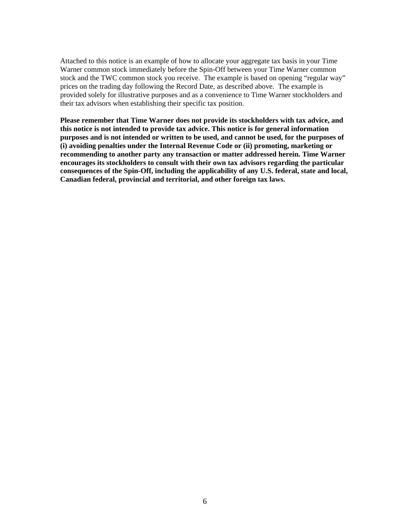Attached to this notice is an example of how to allocate your aggregate tax basis in your Time Warner common stock immediately before the Spin-Off between your Time Warner common stock and the TWC common stock you receive. The example is based on opening "regular way" prices on the trading day following the Record Date, as described above. The example is provided solely for illustrative purposes and as a convenience to Time Warner stockholders and their tax advisors when establishing their specific tax position.

**Please remember that Time Warner does not provide its stockholders with tax advice, and this notice is not intended to provide tax advice. This notice is for general information purposes and is not intended or written to be used, and cannot be used, for the purposes of (i) avoiding penalties under the Internal Revenue Code or (ii) promoting, marketing or recommending to another party any transaction or matter addressed herein. Time Warner encourages its stockholders to consult with their own tax advisors regarding the particular consequences of the Spin-Off, including the applicability of any U.S. federal, state and local, Canadian federal, provincial and territorial, and other foreign tax laws.**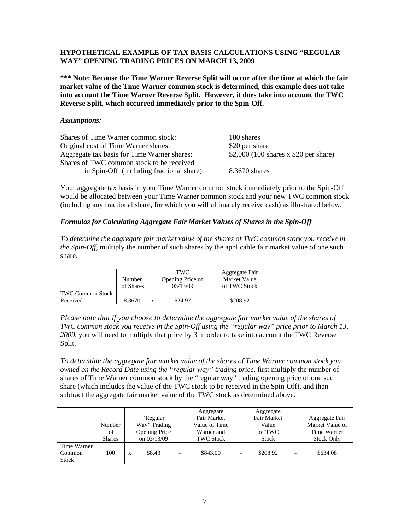### **HYPOTHETICAL EXAMPLE OF TAX BASIS CALCULATIONS USING "REGULAR WAY" OPENING TRADING PRICES ON MARCH 13, 2009**

**\*\*\* Note: Because the Time Warner Reverse Split will occur after the time at which the fair market value of the Time Warner common stock is determined, this example does not take into account the Time Warner Reverse Split. However, it does take into account the TWC Reverse Split, which occurred immediately prior to the Spin-Off.** 

#### *Assumptions:*

| Shares of Time Warner common stock:         | 100 shares                             |
|---------------------------------------------|----------------------------------------|
| Original cost of Time Warner shares:        | \$20 per share                         |
| Aggregate tax basis for Time Warner shares: | $$2,000$ (100 shares x \$20 per share) |
| Shares of TWC common stock to be received   |                                        |
| in Spin-Off (including fractional share):   | 8.3670 shares                          |

Your aggregate tax basis in your Time Warner common stock immediately prior to the Spin-Off would be allocated between your Time Warner common stock and your new TWC common stock (including any fractional share, for which you will ultimately receive cash) as illustrated below.

## *Formulas for Calculating Aggregate Fair Market Values of Shares in the Spin-Off*

*To determine the aggregate fair market value of the shares of TWC common stock you receive in the Spin-Off*, multiply the number of such shares by the applicable fair market value of one such share.

|                         | Number<br>of Shares |   | TWC.<br>Opening Price on<br>03/13/09 |          | Aggregate Fair<br>Market Value<br>of TWC Stock |
|-------------------------|---------------------|---|--------------------------------------|----------|------------------------------------------------|
| <b>TWC Common Stock</b> |                     |   |                                      |          |                                                |
| Received                | 8.3670              | X | \$24.97                              | $\equiv$ | \$208.92                                       |

*Please note that if you choose to determine the aggregate fair market value of the shares of TWC common stock you receive in the Spin-Off using the "regular way" price prior to March 13, 2009,* you will need to multiply that price by 3 in order to take into account the TWC Reverse Split.

*To determine the aggregate fair market value of the shares of Time Warner common stock you owned on the Record Date using the "regular way" trading price*, first multiply the number of shares of Time Warner common stock by the "regular way" trading opening price of one such share (which includes the value of the TWC stock to be received in the Spin-Off), and then subtract the aggregate fair market value of the TWC stock as determined above.

|                                       | Number<br>of<br><b>Shares</b> |   | "Regular"<br>Way" Trading<br><b>Opening Price</b><br>on 03/13/09 |     | Aggregate<br>Fair Market<br>Value of Time<br>Warner and<br><b>TWC Stock</b> |   | Aggregate<br>Fair Market<br>Value<br>of TWC<br><b>Stock</b> |     | Aggregate Fair<br>Market Value of<br>Time Warner<br><b>Stock Only</b> |
|---------------------------------------|-------------------------------|---|------------------------------------------------------------------|-----|-----------------------------------------------------------------------------|---|-------------------------------------------------------------|-----|-----------------------------------------------------------------------|
| Time Warner<br>Common<br><b>Stock</b> | 100                           | X | \$8.43                                                           | $=$ | \$843.00                                                                    | - | \$208.92                                                    | $=$ | \$634.08                                                              |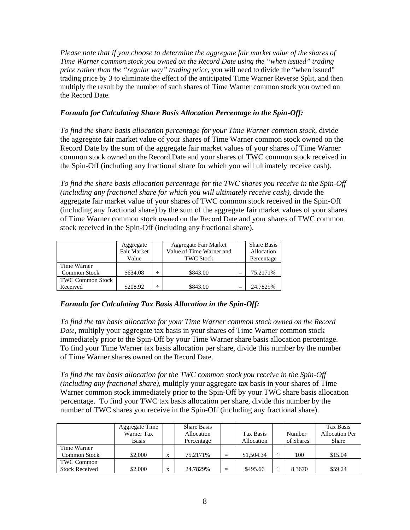*Please note that if you choose to determine the aggregate fair market value of the shares of Time Warner common stock you owned on the Record Date using the "when issued" trading price rather than the "regular way" trading price*, you will need to divide the "when issued" trading price by 3 to eliminate the effect of the anticipated Time Warner Reverse Split, and then multiply the result by the number of such shares of Time Warner common stock you owned on the Record Date.

# *Formula for Calculating Share Basis Allocation Percentage in the Spin-Off:*

*To find the share basis allocation percentage for your Time Warner common stock*, divide the aggregate fair market value of your shares of Time Warner common stock owned on the Record Date by the sum of the aggregate fair market values of your shares of Time Warner common stock owned on the Record Date and your shares of TWC common stock received in the Spin-Off (including any fractional share for which you will ultimately receive cash).

*To find the share basis allocation percentage for the TWC shares you receive in the Spin-Off (including any fractional share for which you will ultimately receive cash)*, divide the aggregate fair market value of your shares of TWC common stock received in the Spin-Off (including any fractional share) by the sum of the aggregate fair market values of your shares of Time Warner common stock owned on the Record Date and your shares of TWC common stock received in the Spin-Off (including any fractional share).

|                         | Aggregate<br><b>Fair Market</b><br>Value | Aggregate Fair Market<br>Value of Time Warner and<br><b>TWC Stock</b> |     | <b>Share Basis</b><br>Allocation |
|-------------------------|------------------------------------------|-----------------------------------------------------------------------|-----|----------------------------------|
| Time Warner             |                                          |                                                                       |     | Percentage                       |
| Common Stock            | \$634.08                                 | \$843.00                                                              | -   | 75.2171%                         |
| <b>TWC Common Stock</b> |                                          |                                                                       |     |                                  |
| Received                | \$208.92                                 | \$843.00                                                              | $=$ | 24.7829%                         |

# *Formula for Calculating Tax Basis Allocation in the Spin-Off:*

*To find the tax basis allocation for your Time Warner common stock owned on the Record Date,* multiply your aggregate tax basis in your shares of Time Warner common stock immediately prior to the Spin-Off by your Time Warner share basis allocation percentage. To find your Time Warner tax basis allocation per share, divide this number by the number of Time Warner shares owned on the Record Date.

*To find the tax basis allocation for the TWC common stock you receive in the Spin-Off (including any fractional share),* multiply your aggregate tax basis in your shares of Time Warner common stock immediately prior to the Spin-Off by your TWC share basis allocation percentage. To find your TWC tax basis allocation per share, divide this number by the number of TWC shares you receive in the Spin-Off (including any fractional share).

|                       | Aggregate Time<br>Warner Tax<br><b>Basis</b> |                           | <b>Share Basis</b><br>Allocation<br>Percentage |     | Tax Basis<br>Allocation |   | Number<br>of Shares | Tax Basis<br><b>Allocation Per</b><br><b>Share</b> |
|-----------------------|----------------------------------------------|---------------------------|------------------------------------------------|-----|-------------------------|---|---------------------|----------------------------------------------------|
| Time Warner           |                                              |                           |                                                |     |                         |   |                     |                                                    |
| <b>Common Stock</b>   | \$2,000                                      | X                         | 75.2171%                                       |     | \$1,504.34              | ÷ | 100                 | \$15.04                                            |
| <b>TWC Common</b>     |                                              |                           |                                                |     |                         |   |                     |                                                    |
| <b>Stock Received</b> | \$2,000                                      | $\mathbf{v}$<br>$\lambda$ | 24.7829%                                       | $=$ | \$495.66                | ÷ | 8.3670              | \$59.24                                            |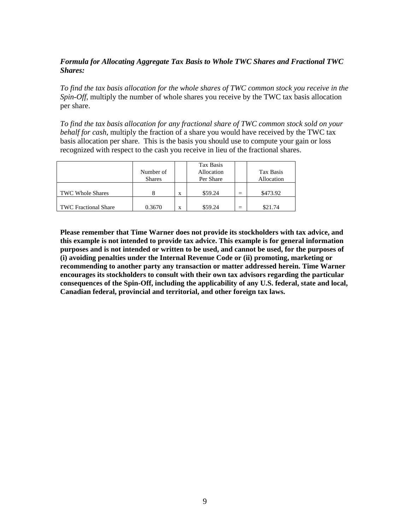# *Formula for Allocating Aggregate Tax Basis to Whole TWC Shares and Fractional TWC Shares:*

*To find the tax basis allocation for the whole shares of TWC common stock you receive in the Spin-Off*, multiply the number of whole shares you receive by the TWC tax basis allocation per share.

*To find the tax basis allocation for any fractional share of TWC common stock sold on your behalf for cash*, multiply the fraction of a share you would have received by the TWC tax basis allocation per share. This is the basis you should use to compute your gain or loss recognized with respect to the cash you receive in lieu of the fractional shares.

|                             | Number of<br><b>Shares</b> |   | Tax Basis<br>Allocation<br>Per Share |                          | Tax Basis<br>Allocation |
|-----------------------------|----------------------------|---|--------------------------------------|--------------------------|-------------------------|
| <b>TWC Whole Shares</b>     |                            | X | \$59.24                              | $\overline{\phantom{0}}$ | \$473.92                |
| <b>TWC Fractional Share</b> | 0.3670                     | X | \$59.24                              | $=$                      | \$21.74                 |

**Please remember that Time Warner does not provide its stockholders with tax advice, and this example is not intended to provide tax advice. This example is for general information purposes and is not intended or written to be used, and cannot be used, for the purposes of (i) avoiding penalties under the Internal Revenue Code or (ii) promoting, marketing or recommending to another party any transaction or matter addressed herein. Time Warner encourages its stockholders to consult with their own tax advisors regarding the particular consequences of the Spin-Off, including the applicability of any U.S. federal, state and local, Canadian federal, provincial and territorial, and other foreign tax laws.**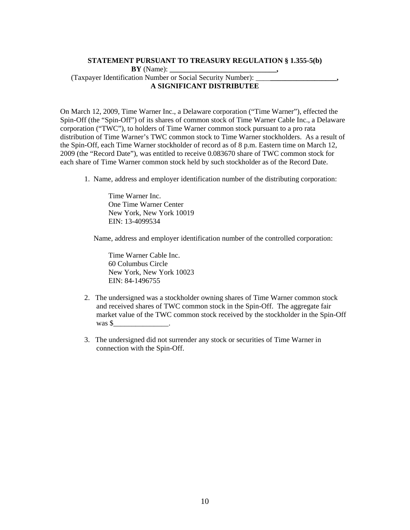# **STATEMENT PURSUANT TO TREASURY REGULATION § 1.355-5(b) BY** (Name): (Taxpayer Identification Number or Social Security Number): \_\_\_\_**\_\_\_\_\_\_\_\_\_\_\_\_\_\_\_\_\_\_,**

#### **A SIGNIFICANT DISTRIBUTEE**

On March 12, 2009, Time Warner Inc., a Delaware corporation ("Time Warner"), effected the Spin-Off (the "Spin-Off") of its shares of common stock of Time Warner Cable Inc., a Delaware corporation ("TWC"), to holders of Time Warner common stock pursuant to a pro rata distribution of Time Warner's TWC common stock to Time Warner stockholders. As a result of the Spin-Off, each Time Warner stockholder of record as of 8 p.m. Eastern time on March 12, 2009 (the "Record Date"), was entitled to receive 0.083670 share of TWC common stock for each share of Time Warner common stock held by such stockholder as of the Record Date.

1. Name, address and employer identification number of the distributing corporation:

Time Warner Inc. One Time Warner Center New York, New York 10019 EIN: 13-4099534

Name, address and employer identification number of the controlled corporation:

Time Warner Cable Inc. 60 Columbus Circle New York, New York 10023 EIN: 84-1496755

- 2. The undersigned was a stockholder owning shares of Time Warner common stock and received shares of TWC common stock in the Spin-Off. The aggregate fair market value of the TWC common stock received by the stockholder in the Spin-Off was \$\_\_\_\_\_\_\_\_\_\_\_\_\_\_\_.
- 3. The undersigned did not surrender any stock or securities of Time Warner in connection with the Spin-Off.